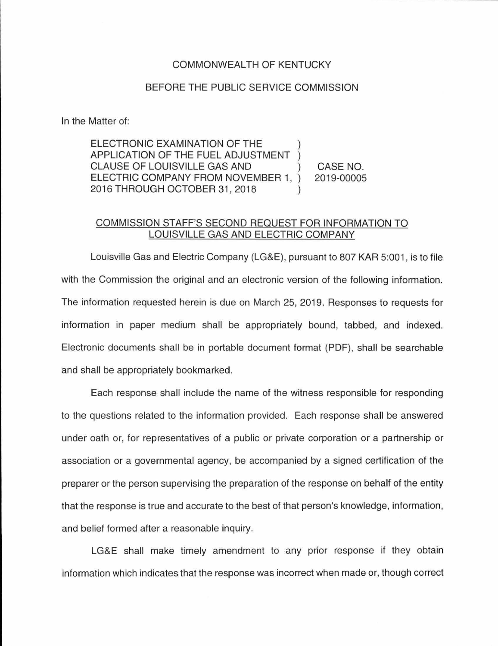## COMMONWEAL TH OF KENTUCKY

## BEFORE THE PUBLIC SERVICE COMMISSION

In the Matter of:

ELECTRONIC EXAMINATION OF THE APPLICATION OF THE FUEL ADJUSTMENT CLAUSE OF LOUISVILLE GAS AND ELECTRIC COMPANY FROM NOVEMBER 1, 2016 THROUGH OCTOBER 31 , 2018 CASE NO. 2019-00005

## COMMISSION STAFF'S SECOND REQUEST FOR INFORMATION TO LOUISVILLE GAS AND ELECTRIC COMPANY

Louisville Gas and Electric Company (LG&E), pursuant to 807 KAR 5:001, is to file with the Commission the original and an electronic version of the following information. The information requested herein is due on March 25, 2019. Responses to requests for information in paper medium shall be appropriately bound, tabbed, and indexed. Electronic documents shall be in portable document format (PDF), shall be searchable and shall be appropriately bookmarked.

Each response shall include the name of the witness responsible for responding to the questions related to the information provided. Each response shall be answered under oath or, for representatives of a public or private corporation or a partnership or association or a governmental agency, be accompanied by a signed certification of the preparer or the person supervising the preparation of the response on behalf of the entity that the response is true and accurate to the best of that person's knowledge, information, and belief formed after a reasonable inquiry.

LG&E shall make timely amendment to any prior response if they obtain information which indicates that the response was incorrect when made or, though correct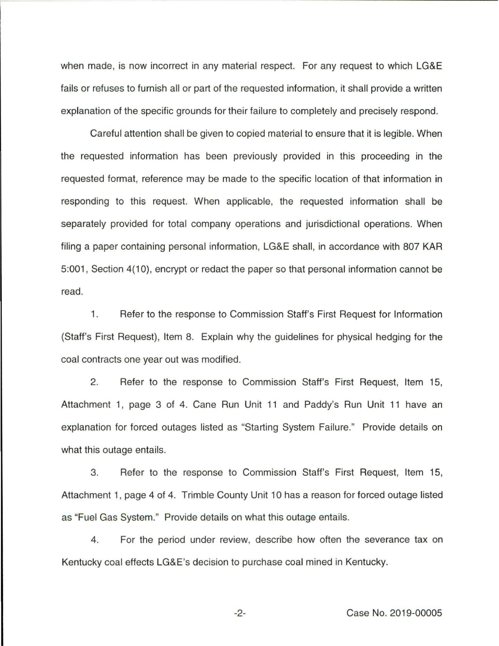when made, is now incorrect in any material respect. For any request to which LG&E fails or refuses to furnish all or part of the requested information, it shall provide a written explanation of the specific grounds for their failure to completely and precisely respond.

Careful attention shall be given to copied material to ensure that it is legible. When the requested information has been previously provided in this proceeding in the requested format, reference may be made to the specific location of that information in responding to this request. When applicable, the requested information shall be separately provided for total company operations and jurisdictional operations. When filing a paper containing personal information, LG&E shall, in accordance with 807 KAR 5:001 , Section 4(10), encrypt or redact the paper so that personal information cannot be read.

1. Refer to the response to Commission Staff's First Request for Information (Staff's First Request), Item 8. Explain why the guidelines for physical hedging for the coal contracts one year out was modified.

2. Refer to the response to Commission Staff's First Request, Item 15, Attachment 1, page 3 of 4. Cane Run Unit 11 and Paddy's Run Unit 11 have an explanation for forced outages listed as "Starting System Failure." Provide details on what this outage entails.

3. Refer to the response to Commission Staff's First Request, Item 15, Attachment 1, page 4 of 4. Trimble County Unit 10 has a reason for forced outage listed as "Fuel Gas System." Provide details on what this outage entails.

4. For the period under review, describe how often the severance tax on Kentucky coal effects LG&E's decision to purchase coal mined in Kentucky.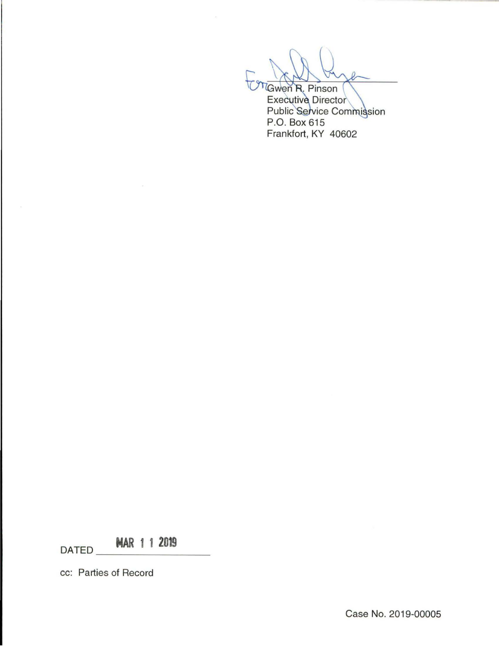**Gwen R. Pinson** 

**Executive Director** Public Service Commission P.O. Box 615 Frankfort, KY 40602

**DATED MAR 1 1 2019** 

cc: Parties of Record